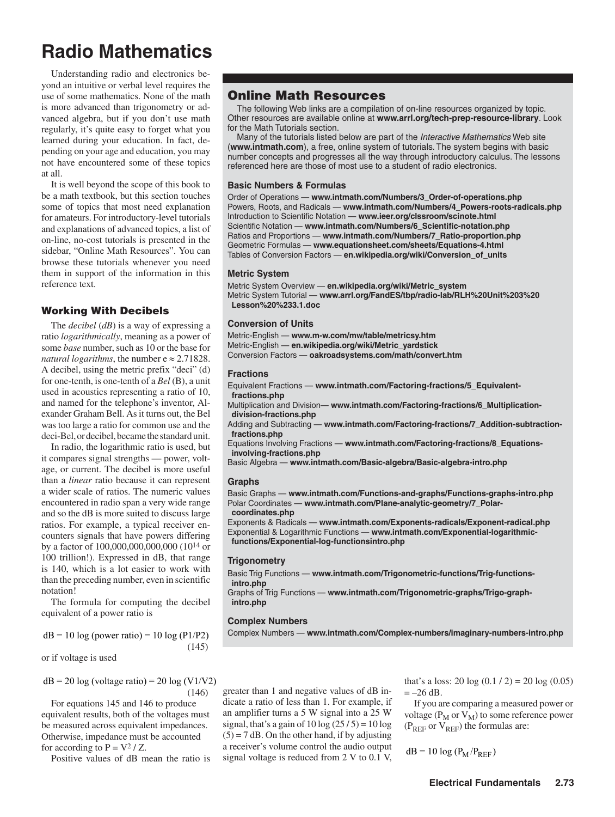# **Radio Mathematics**

Understanding radio and electronics beyond an intuitive or verbal level requires the use of some mathematics. None of the math is more advanced than trigonometry or advanced algebra, but if you don't use math regularly, it's quite easy to forget what you learned during your education. In fact, depending on your age and education, you may not have encountered some of these topics at all.

It is well beyond the scope of this book to be a math textbook, but this section touches some of topics that most need explanation for amateurs. For introductory-level tutorials and explanations of advanced topics, a list of on-line, no-cost tutorials is presented in the sidebar, "Online Math Resources". You can browse these tutorials whenever you need them in support of the information in this reference text.

## Working With Decibels

The *decibel* (*dB*) is a way of expressing a ratio *logarithmically*, meaning as a power of some *base* number, such as 10 or the base for *natural logarithms*, the number  $e \approx 2.71828$ . A decibel, using the metric prefix "deci" (d) for one-tenth, is one-tenth of a *Bel* (B), a unit used in acoustics representing a ratio of 10, and named for the telephone's inventor, Alexander Graham Bell. As it turns out, the Bel was too large a ratio for common use and the deci-Bel, or decibel, became the standard unit.

In radio, the logarithmic ratio is used, but it compares signal strengths — power, voltage, or current. The decibel is more useful than a *linear* ratio because it can represent a wider scale of ratios. The numeric values encountered in radio span a very wide range and so the dB is more suited to discuss large ratios. For example, a typical receiver encounters signals that have powers differing by a factor of 100,000,000,000,000 (1014 or 100 trillion!). Expressed in dB, that range is 140, which is a lot easier to work with than the preceding number, even in scientific notation!

The formula for computing the decibel equivalent of a power ratio is

 $dB = 10 \log (power ratio) = 10 \log (P1/P2)$ (1)

or if voltage is used

$$
dB = 20 \log (voltage ratio) = 20 \log (V1/V2)
$$
  
(2)

For equations 1 and 2 to produce equivalent results, both of the voltages must be measured across equivalent impedances. Otherwise, impedance must be accounted for according to  $P = V^2 / Z$ .

Positive values of dB mean the ratio is

# Online Math Resources

The following Web links are a compilation of on-line resources organized by topic. Other resources are available online at **www.arrl.org/tech-prep-resource-library**. Look for the Math Tutorials section.

Many of the tutorials listed below are part of the *Interactive Mathematics* Web site (**www.intmath.com**), a free, online system of tutorials. The system begins with basic number concepts and progresses all the way through introductory calculus. The lessons referenced here are those of most use to a student of radio electronics.

## **Basic Numbers & Formulas**

Order of Operations — **www.intmath.com/Numbers/3\_Order-of-operations.php** Powers, Roots, and Radicals — **www.intmath.com/Numbers/4\_Powers-roots-radicals.php** Introduction to Scientific Notation — **www.ieer.org/clssroom/scinote.html** Scientific Notation — **www.intmath.com/Numbers/6\_Scientific-notation.php** Ratios and Proportions — **www.intmath.com/Numbers/7\_Ratio-proportion.php** Geometric Formulas — **www.equationsheet.com/sheets/Equations-4.html** Tables of Conversion Factors — **en.wikipedia.org/wiki/Conversion\_of\_units**

### **Metric System**

Metric System Overview — **en.wikipedia.org/wiki/Metric\_system** Metric System Tutorial —see Unit 3 at **www.arrl.org/radio-lab-handbook**

## **Conversion of Units**

Metric-English — **www.m-w.com/mw/table/metricsy.htm** Metric-English — **en.wikipedia.org/wiki/Metric\_yardstick** Conversion Factors — **oakroadsystems.com/math/convert.htm**

### **Fractions**

Equivalent Fractions — **www.intmath.com/Factoring-fractions/5\_Equivalentfractions.php**

- Multiplication and Division— **www.intmath.com/Factoring-fractions/6\_Multiplicationdivision-fractions.php**
- Adding and Subtracting **www.intmath.com/Factoring-fractions/7\_Addition-subtractionfractions.php**

Equations Involving Fractions — **www.intmath.com/Factoring-fractions/8\_Equationsinvolving-fractions.php**

Basic Algebra — **www.intmath.com/Basic-algebra/Basic-algebra-intro.php**

## **Graphs**

Basic Graphs — **www.intmath.com/Functions-and-graphs/Functions-graphs-intro.php** Polar Coordinates — **www.intmath.com/Plane-analytic-geometry/7\_Polar-**

**coordinates.php**

Exponents & Radicals — **www.intmath.com/Exponents-radicals/Exponent-radical.php** Exponential & Logarithmic Functions — **www.intmath.com/Exponential-logarithmicfunctions/Exponential-log-functionsintro.php**

### **Trigonometry**

Basic Trig Functions — **www.intmath.com/Trigonometric-functions/Trig-functionsintro.php**

Graphs of Trig Functions — **www.intmath.com/Trigonometric-graphs/Trigo-graphintro.php**

## **Complex Numbers**

Complex Numbers — **www.intmath.com/Complex-numbers/imaginary-numbers-intro.php**

greater than 1 and negative values of dB indicate a ratio of less than 1. For example, if an amplifier turns a 5 W signal into a 25 W signal, that's a gain of  $10 \log (25/5) = 10 \log$  $(5) = 7$  dB. On the other hand, if by adjusting a receiver's volume control the audio output signal voltage is reduced from 2 V to 0.1 V, that's a loss: 20 log  $(0.1 / 2) = 20 \log (0.05)$  $=-26$  dB.

If you are comparing a measured power or voltage ( $P_M$  or  $V_M$ ) to some reference power ( $P_{REF}$  or  $V_{REF}$ ) the formulas are:

$$
dB = 10 \log (P_M/P_{REF})
$$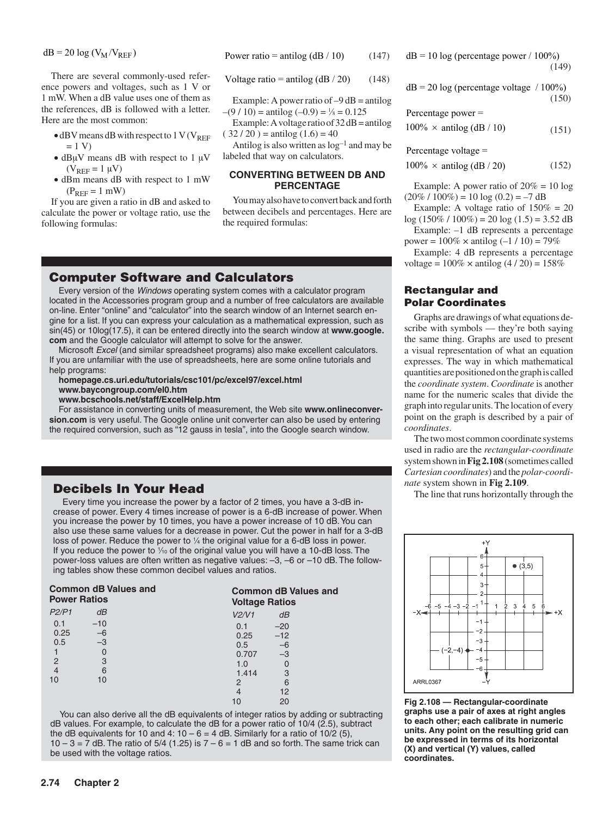$dB = 20 \log (V_M / V_{REF})$ 

There are several commonly-used reference powers and voltages, such as 1 V or 1 mW. When a dB value uses one of them as the references, dB is followed with a letter. Here are the most common:

- $\bullet$  dBV means dB with respect to 1 V (V<sub>REF</sub>  $= 1 V$
- dB $\mu$ V means dB with respect to 1  $\mu$ V  $(V_{REF} = 1 \mu V)$
- dBm means dB with respect to 1 mW  $(P_{REF} = 1$  mW)

If you are given a ratio in dB and asked to calculate the power or voltage ratio, use the following formulas:

Power ratio = antilog 
$$
(dB / 10)
$$
 (3)

Voltage ratio = antilog  $(dB / 20)$  (4)

Example: A power ratio of  $-9$  dB = antilog  $-(9/10) = \text{antilog } (-0.9) = \frac{1}{8} = 0.125$ 

Example: A voltage ratio of  $32 \text{ dB} = \text{antilog}$  $(32 / 20) =$ antilog  $(1.6) = 40$ 

Antilog is also written as  $log<sup>-1</sup>$  and may be labeled that way on calculators.

### **CONVERTING BETWEEN DB AND PERCENTAGE**

You may also have to convert back and forth between decibels and percentages. Here are the required formulas:

## Computer Software and Calculators

Every version of the *Windows* operating system comes with a calculator program located in the Accessories program group and a number of free calculators are available on-line. Enter "online" and "calculator" into the search window of an Internet search engine for a list. If you can express your calculation as a mathematical expression, such as sin(45) or 10log(17.5), it can be entered directly into the search window at **www.google. com** and the Google calculator will attempt to solve for the answer.

Microsoft *Excel* (and similar spreadsheet programs) also make excellent calculators. If you are unfamiliar with the use of spreadsheets, here are some online tutorials and help programs:

#### **homepage.cs.uri.edu/tutorials/csc101/pc/excel97/excel.html www.baycongroup.com/el0.htm www.bcschools.net/staff/ExcelHelp.htm**

For assistance in converting units of measurement, the Web site **www.onlineconversion.com** is very useful. The Google online unit converter can also be used by entering the required conversion, such as "12 gauss in tesla", into the Google search window.

# Decibels In Your Head

Every time you increase the power by a factor of 2 times, you have a 3-dB increase of power. Every 4 times increase of power is a 6-dB increase of power. When you increase the power by 10 times, you have a power increase of 10 dB. You can also use these same values for a decrease in power. Cut the power in half for a 3-dB loss of power. Reduce the power to  $\frac{1}{4}$  the original value for a 6-dB loss in power. If you reduce the power to  $\frac{1}{10}$  of the original value you will have a 10-dB loss. The power-loss values are often written as negative values: –3, –6 or –10 dB. The following tables show these common decibel values and ratios.

| <b>Common dB Values and</b><br><b>Power Ratios</b> |       |       | <b>Common dB Values and</b><br><b>Voltage Ratios</b> |  |
|----------------------------------------------------|-------|-------|------------------------------------------------------|--|
| P2/P1                                              | dB    | V2/V1 | dB                                                   |  |
| 0.1                                                | $-10$ | 0.1   | $-20$                                                |  |
| 0.25                                               | $-6$  | 0.25  | $-12$                                                |  |
| 0.5                                                | $-3$  | 0.5   | $-6$                                                 |  |
|                                                    | O     | 0.707 | $-3$                                                 |  |
| $\overline{2}$                                     | 3     | 1.0   | 0                                                    |  |
| 4                                                  | 6     | 1.414 | 3                                                    |  |
| 10                                                 | 10    | 2     | 6                                                    |  |
|                                                    |       |       | 12                                                   |  |
|                                                    |       | 10    | 20                                                   |  |

You can also derive all the dB equivalents of integer ratios by adding or subtracting dB values. For example, to calculate the dB for a power ratio of 10/4 (2.5), subtract the dB equivalents for 10 and 4:  $10 - 6 = 4$  dB. Similarly for a ratio of  $10/2$  (5),  $10 - 3 = 7$  dB. The ratio of 5/4 (1.25) is  $7 - 6 = 1$  dB and so forth. The same trick can be used with the voltage ratios.

$$
dB = 10 \log (percentage power / 100\%)
$$
\n(5)

 $dB = 20 \log$  (percentage voltage / 100%) (6)

Percentage power =

 $100\% \times \text{antilog} \left( \frac{dB}{10} \right)$  (7)

Percentage voltage =

 $100\% \times \text{antilog} \, (dB / 20)$  (8)

Example: A power ratio of  $20\% = 10 \log$  $(20\% / 100\%) = 10 \log (0.2) = -7 dB$ 

Example: A voltage ratio of  $150\% = 20$  $log(150\% / 100\%) = 20 log(1.5) = 3.52 dB$ 

Example: –1 dB represents a percentage power =  $100\%$  × antilog  $(-1/10)$  = 79%

Example: 4 dB represents a percentage voltage =  $100\%$  × antilog  $(4/20)$  =  $158\%$ 

## Rectangular and Polar Coordinates

Graphs are drawings of what equations describe with symbols — they're both saying the same thing. Graphs are used to present a visual representation of what an equation expresses. The way in which mathematical quantities are positioned on the graph is called the *coordinate system*. *Coordinate* is another name for the numeric scales that divide the graph into regular units. The location of every point on the graph is described by a pair of *coordinates*.

The two most common coordinate systems used in radio are the *rectangular-coordinate* system shown in **Figure 1** (sometimes called *Cartesian coordinates*) and the *polar-coordinate* system shown in **Figure 2**.

The line that runs horizontally through the



10 20 **Figure 1 — Rectangular-coordinate graphs use a pair of axes at right angles to each other; each calibrate in numeric units. Any point on the resulting grid can be expressed in terms of its horizontal (X) and vertical (Y) values, called coordinates.**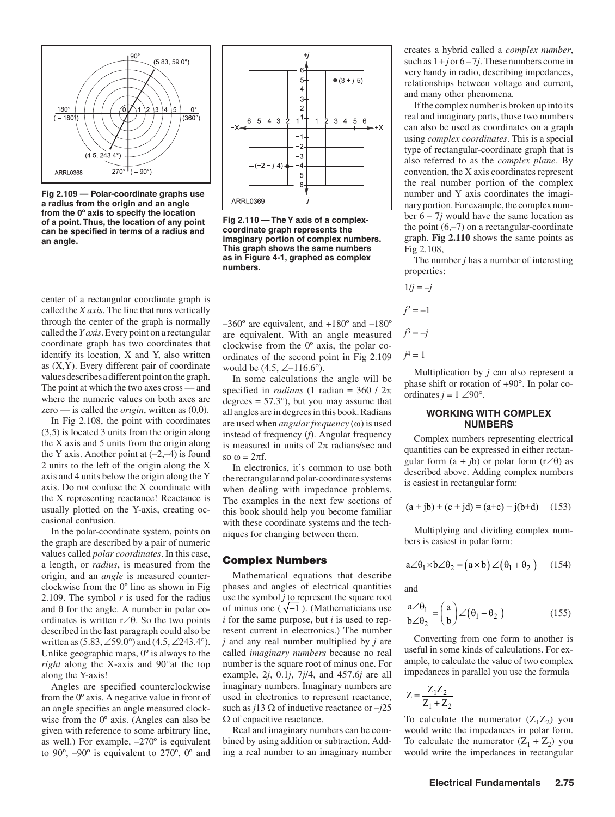

**Figure 2 — Polar-coordinate graphs use a radius from the origin and an angle from the 0º axis to specify the location of a point. Thus, the location of any point can be specified in terms of a radius and an angle.**

center of a rectangular coordinate graph is called the *X axis*. The line that runs vertically through the center of the graph is normally called the *Y axis*. Every point on a rectangular coordinate graph has two coordinates that identify its location, X and Y, also written as  $(X, Y)$ . Every different pair of coordinate values describes a different point on the graph. The point at which the two axes cross — and where the numeric values on both axes are zero — is called the *origin*, written as (0,0).

In Figure 1, the point with coordinates (3,5) is located 3 units from the origin along the X axis and 5 units from the origin along the Y axis. Another point at  $(-2,-4)$  is found 2 units to the left of the origin along the X axis and 4 units below the origin along the Y axis. Do not confuse the X coordinate with the X representing reactance! Reactance is usually plotted on the Y-axis, creating occasional confusion.

In the polar-coordinate system, points on the graph are described by a pair of numeric values called *polar coordinates*. In this case, a length, or *radius*, is measured from the origin, and an *angle* is measured counterclockwise from the 0º line as shown in Figure 2. The symbol *r* is used for the radius and θ for the angle. A number in polar coordinates is written r∠θ. So the two points described in the last paragraph could also be written as  $(5.83, \angle 59.0^{\circ})$  and  $(4.5, \angle 243.4^{\circ})$ . Unlike geographic maps, 0º is always to the *right* along the X-axis and 90°at the top along the Y-axis!

Angles are specified counterclockwise from the 0º axis. A negative value in front of an angle specifies an angle measured clockwise from the 0º axis. (Angles can also be given with reference to some arbitrary line, as well.) For example, –270º is equivalent to 90º, –90º is equivalent to 270º, 0º and



**Figure 3 — The Y axis of a complexcoordinate graph represents the imaginary portion of complex numbers. This graph shows the same numbers as in Figure 1, graphed as complex numbers.**

 $-360^\circ$  are equivalent, and  $+180^\circ$  and  $-180^\circ$ are equivalent. With an angle measured clockwise from the 0º axis, the polar coordinates of the second point in Figure 2 would be  $(4.5, \angle -116.6^{\circ})$ .

In some calculations the angle will be specified in *radians* (1 radian =  $360 / 2\pi$ degrees  $= 57.3^{\circ}$ ), but you may assume that all angles are in degrees in this book. Radians are used when *angular frequency* (ω) is used instead of frequency (*f*). Angular frequency is measured in units of  $2\pi$  radians/sec and so  $\omega = 2\pi f$ .

In electronics, it's common to use both the rectangular and polar-coordinate systems when dealing with impedance problems. The examples in the next few sections of this book should help you become familiar with these coordinate systems and the techniques for changing between them.

### Complex Numbers

Mathematical equations that describe phases and angles of electrical quantities use the symbol *j* to represent the square root of minus one  $(\sqrt{-1})$ . (Mathematicians use *i* for the same purpose, but *i* is used to represent current in electronics.) The number *j* and any real number multiplied by *j* are called *imaginary numbers* because no real number is the square root of minus one. For example, 2*j*, 0.1*j*, 7*j*/4, and 457.6*j* are all imaginary numbers. Imaginary numbers are used in electronics to represent reactance, such as  $j13 \Omega$  of inductive reactance or  $-j25$  $Ω$  of capacitive reactance.

Real and imaginary numbers can be combined by using addition or subtraction. Adding a real number to an imaginary number

creates a hybrid called a *complex number*, such as  $1 + j$  or  $6 - 7j$ . These numbers come in very handy in radio, describing impedances, relationships between voltage and current, and many other phenomena.

If the complex number is broken up into its real and imaginary parts, those two numbers can also be used as coordinates on a graph using *complex coordinates*. This is a special type of rectangular-coordinate graph that is also referred to as the *complex plane*. By convention, the X axis coordinates represent the real number portion of the complex number and Y axis coordinates the imaginary portion. For example, the complex number  $6 - 7j$  would have the same location as the point  $(6,-7)$  on a rectangular-coordinate graph. **Figure 3** shows the same points as Figure 1.

The number *j* has a number of interesting properties:

$$
1/j = -j
$$
  

$$
j2 = -1
$$
  

$$
j3 = -j
$$
  

$$
j4 = 1
$$

Multiplication by *j* can also represent a phase shift or rotation of +90°. In polar coordinates  $j = 1 \angle 90^\circ$ .

#### **WORKING WITH COMPLEX NUMBERS**

Complex numbers representing electrical quantities can be expressed in either rectangular form  $(a + jb)$  or polar form  $(r\angle \theta)$  as described above. Adding complex numbers is easiest in rectangular form:

$$
(a + jb) + (c + jd) = (a+c) + j(b+d)
$$
 (9)

Multiplying and dividing complex numbers is easiest in polar form:

$$
a\angle\theta_1 \times b\angle\theta_2 = (a \times b)\angle(\theta_1 + \theta_2) \quad (10)
$$

and

$$
\frac{a \angle \theta_1}{b \angle \theta_2} = \left(\frac{a}{b}\right) \angle (\theta_1 - \theta_2)
$$
 (11)

Converting from one form to another is useful in some kinds of calculations. For example, to calculate the value of two complex impedances in parallel you use the formula

$$
Z = \frac{Z_1 Z_2}{Z_1 + Z_2}
$$

To calculate the numerator  $(Z_1Z_2)$  you would write the impedances in polar form. To calculate the numerator  $(Z_1 + Z_2)$  you would write the impedances in rectangular